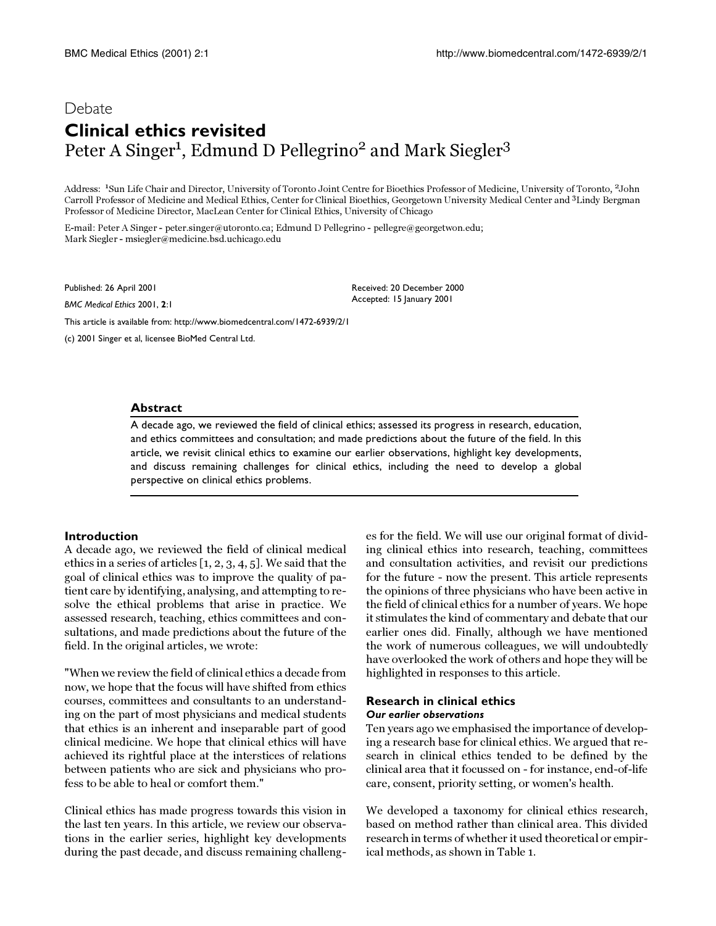# Debate **Clinical ethics revisited** Peter A Singer<sup>1</sup>, Edmund D Pellegrino<sup>2</sup> and Mark Siegler<sup>3</sup>

Address: <sup>1</sup>Sun Life Chair and Director, University of Toronto Joint Centre for Bioethics Professor of Medicine, University of Toronto, <sup>2</sup>John Carroll Professor of Medicine and Medical Ethics, Center for Clinical Bioethics, Georgetown University Medical Center and 3Lindy Bergman Professor of Medicine Director, MacLean Center for Clinical Ethics, University of Chicago

> Received: 20 December 2000 Accepted: 15 January 2001

E-mail: Peter A Singer - peter.singer@utoronto.ca; Edmund D Pellegrino - pellegre@georgetwon.edu; Mark Siegler - msiegler@medicine.bsd.uchicago.edu

Published: 26 April 2001

*BMC Medical Ethics* 2001, **2**:1

[This article is available from: http://www.biomedcentral.com/1472-6939/2/1](http://www.biomedcentral.com/1472-6939/2/1)

(c) 2001 Singer et al, licensee BioMed Central Ltd.

#### **Abstract**

A decade ago, we reviewed the field of clinical ethics; assessed its progress in research, education, and ethics committees and consultation; and made predictions about the future of the field. In this article, we revisit clinical ethics to examine our earlier observations, highlight key developments, and discuss remaining challenges for clinical ethics, including the need to develop a global perspective on clinical ethics problems.

#### **Introduction**

A decade ago, we reviewed the field of clinical medical ethics in a series of articles [\[1](#page-7-0), [2,](#page-7-1) [3,](#page-7-2) [4](#page-7-3), [5\]](#page-7-4). We said that the goal of clinical ethics was to improve the quality of patient care by identifying, analysing, and attempting to resolve the ethical problems that arise in practice. We assessed research, teaching, ethics committees and consultations, and made predictions about the future of the field. In the original articles, we wrote:

"When we review the field of clinical ethics a decade from now, we hope that the focus will have shifted from ethics courses, committees and consultants to an understanding on the part of most physicians and medical students that ethics is an inherent and inseparable part of good clinical medicine. We hope that clinical ethics will have achieved its rightful place at the interstices of relations between patients who are sick and physicians who profess to be able to heal or comfort them."

Clinical ethics has made progress towards this vision in the last ten years. In this article, we review our observations in the earlier series, highlight key developments during the past decade, and discuss remaining challenges for the field. We will use our original format of dividing clinical ethics into research, teaching, committees and consultation activities, and revisit our predictions for the future - now the present. This article represents the opinions of three physicians who have been active in the field of clinical ethics for a number of years. We hope it stimulates the kind of commentary and debate that our earlier ones did. Finally, although we have mentioned the work of numerous colleagues, we will undoubtedly have overlooked the work of others and hope they will be highlighted in responses to this article.

## **Research in clinical ethics** *Our earlier observations*

Ten years ago we emphasised the importance of developing a research base for clinical ethics. We argued that research in clinical ethics tended to be defined by the clinical area that it focussed on - for instance, end-of-life care, consent, priority setting, or women's health.

We developed a taxonomy for clinical ethics research, based on method rather than clinical area. This divided research in terms of whether it used theoretical or empirical methods, as shown in Table [1](#page-1-0).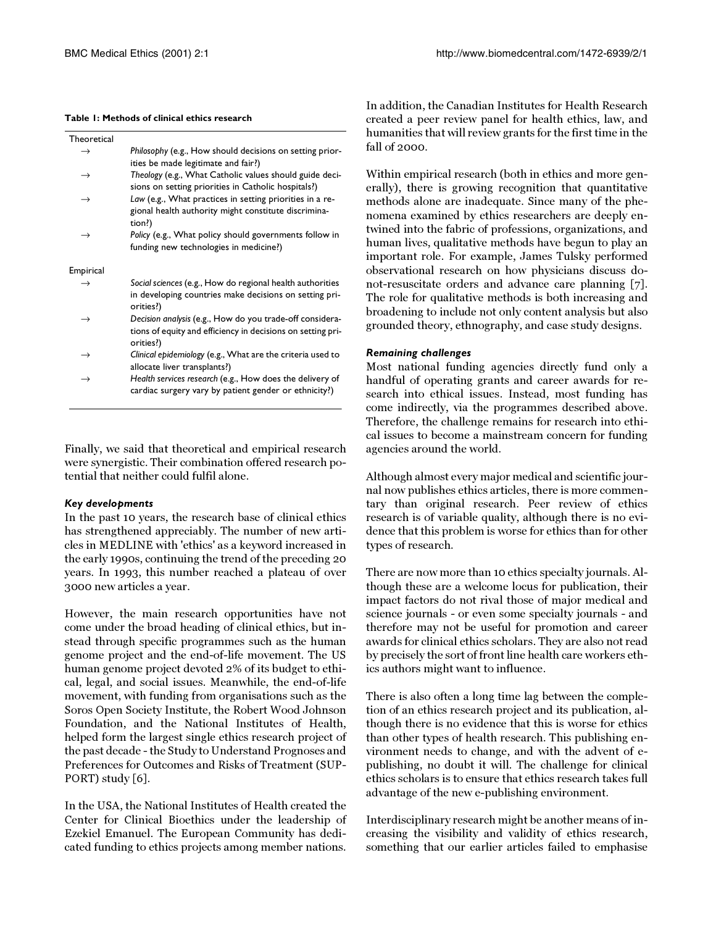#### <span id="page-1-0"></span>**Table 1: Methods of clinical ethics research**

| Theoretical   |                                                                                                                                      |
|---------------|--------------------------------------------------------------------------------------------------------------------------------------|
| $\rightarrow$ | Philosophy (e.g., How should decisions on setting prior-<br>ities be made legitimate and fair?)                                      |
| $\rightarrow$ | Theology (e.g., What Catholic values should guide deci-<br>sions on setting priorities in Catholic hospitals?)                       |
| $\rightarrow$ | Law (e.g., What practices in setting priorities in a re-<br>gional health authority might constitute discrimina-<br>tion?)           |
| $\rightarrow$ | Policy (e.g., What policy should governments follow in<br>funding new technologies in medicine?)                                     |
| Empirical     |                                                                                                                                      |
| $\rightarrow$ | Social sciences (e.g., How do regional health authorities<br>in developing countries make decisions on setting pri-<br>orities?)     |
| $\rightarrow$ | Decision analysis (e.g., How do you trade-off considera-<br>tions of equity and efficiency in decisions on setting pri-<br>orities?) |
| $\rightarrow$ | Clinical epidemiology (e.g., What are the criteria used to<br>allocate liver transplants?)                                           |
| $\rightarrow$ | Health services research (e.g., How does the delivery of<br>cardiac surgery vary by patient gender or ethnicity?)                    |

Finally, we said that theoretical and empirical research were synergistic. Their combination offered research potential that neither could fulfil alone.

#### *Key developments*

In the past 10 years, the research base of clinical ethics has strengthened appreciably. The number of new articles in MEDLINE with 'ethics' as a keyword increased in the early 1990s, continuing the trend of the preceding 20 years. In 1993, this number reached a plateau of over 3000 new articles a year.

However, the main research opportunities have not come under the broad heading of clinical ethics, but instead through specific programmes such as the human genome project and the end-of-life movement. The US human genome project devoted 2% of its budget to ethical, legal, and social issues. Meanwhile, the end-of-life movement, with funding from organisations such as the Soros Open Society Institute, the Robert Wood Johnson Foundation, and the National Institutes of Health, helped form the largest single ethics research project of the past decade - the Study to Understand Prognoses and Preferences for Outcomes and Risks of Treatment (SUP-PORT) study [[6](#page-7-5)].

In the USA, the National Institutes of Health created the Center for Clinical Bioethics under the leadership of Ezekiel Emanuel. The European Community has dedicated funding to ethics projects among member nations. In addition, the Canadian Institutes for Health Research created a peer review panel for health ethics, law, and humanities that will review grants for the first time in the fall of 2000.

Within empirical research (both in ethics and more generally), there is growing recognition that quantitative methods alone are inadequate. Since many of the phenomena examined by ethics researchers are deeply entwined into the fabric of professions, organizations, and human lives, qualitative methods have begun to play an important role. For example, James Tulsky performed observational research on how physicians discuss donot-resuscitate orders and advance care planning [[7\]](#page-7-6). The role for qualitative methods is both increasing and broadening to include not only content analysis but also grounded theory, ethnography, and case study designs.

## *Remaining challenges*

Most national funding agencies directly fund only a handful of operating grants and career awards for research into ethical issues. Instead, most funding has come indirectly, via the programmes described above. Therefore, the challenge remains for research into ethical issues to become a mainstream concern for funding agencies around the world.

Although almost every major medical and scientific journal now publishes ethics articles, there is more commentary than original research. Peer review of ethics research is of variable quality, although there is no evidence that this problem is worse for ethics than for other types of research.

There are now more than 10 ethics specialty journals. Although these are a welcome locus for publication, their impact factors do not rival those of major medical and science journals - or even some specialty journals - and therefore may not be useful for promotion and career awards for clinical ethics scholars. They are also not read by precisely the sort of front line health care workers ethics authors might want to influence.

There is also often a long time lag between the completion of an ethics research project and its publication, although there is no evidence that this is worse for ethics than other types of health research. This publishing environment needs to change, and with the advent of epublishing, no doubt it will. The challenge for clinical ethics scholars is to ensure that ethics research takes full advantage of the new e-publishing environment.

Interdisciplinary research might be another means of increasing the visibility and validity of ethics research, something that our earlier articles failed to emphasise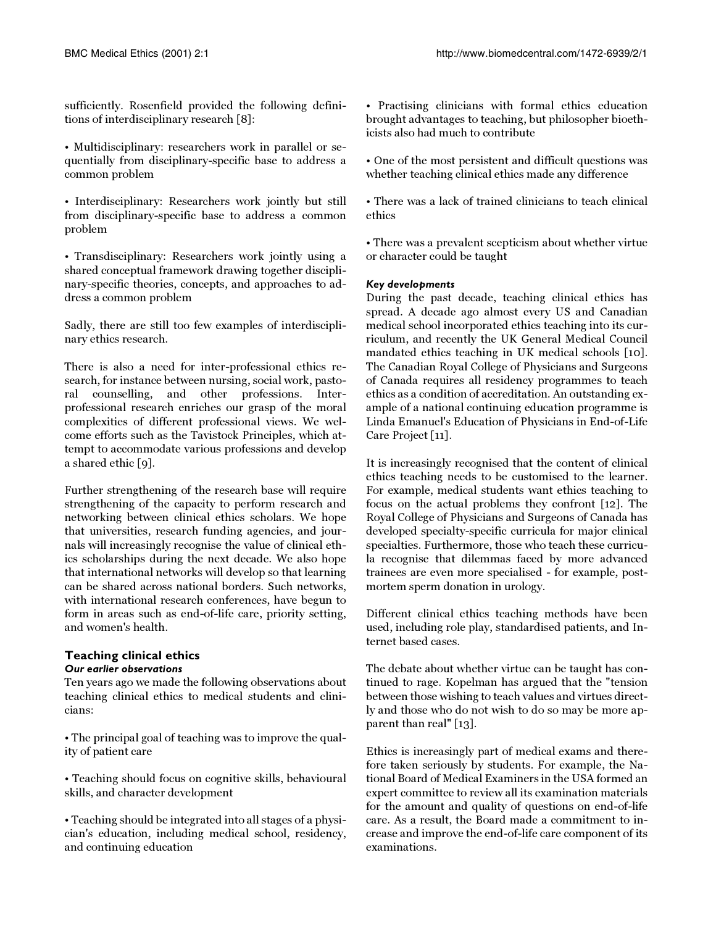sufficiently. Rosenfield provided the following definitions of interdisciplinary research [[8\]](#page-7-7):

• Multidisciplinary: researchers work in parallel or sequentially from disciplinary-specific base to address a common problem

• Interdisciplinary: Researchers work jointly but still from disciplinary-specific base to address a common problem

• Transdisciplinary: Researchers work jointly using a shared conceptual framework drawing together disciplinary-specific theories, concepts, and approaches to address a common problem

Sadly, there are still too few examples of interdisciplinary ethics research.

There is also a need for inter-professional ethics research, for instance between nursing, social work, pastoral counselling, and other professions. Interprofessional research enriches our grasp of the moral complexities of different professional views. We welcome efforts such as the Tavistock Principles, which attempt to accommodate various professions and develop a shared ethic [[9](#page-7-8)].

Further strengthening of the research base will require strengthening of the capacity to perform research and networking between clinical ethics scholars. We hope that universities, research funding agencies, and journals will increasingly recognise the value of clinical ethics scholarships during the next decade. We also hope that international networks will develop so that learning can be shared across national borders. Such networks, with international research conferences, have begun to form in areas such as end-of-life care, priority setting, and women's health.

# **Teaching clinical ethics** *Our earlier observations*

Ten years ago we made the following observations about teaching clinical ethics to medical students and clinicians:

• The principal goal of teaching was to improve the quality of patient care

• Teaching should focus on cognitive skills, behavioural skills, and character development

• Teaching should be integrated into all stages of a physician's education, including medical school, residency, and continuing education

• Practising clinicians with formal ethics education brought advantages to teaching, but philosopher bioethicists also had much to contribute

• One of the most persistent and difficult questions was whether teaching clinical ethics made any difference

• There was a lack of trained clinicians to teach clinical ethics

• There was a prevalent scepticism about whether virtue or character could be taught

# *Key developments*

During the past decade, teaching clinical ethics has spread. A decade ago almost every US and Canadian medical school incorporated ethics teaching into its curriculum, and recently the UK General Medical Council mandated ethics teaching in UK medical schools [[10\]](#page-7-9). The Canadian Royal College of Physicians and Surgeons of Canada requires all residency programmes to teach ethics as a condition of accreditation. An outstanding example of a national continuing education programme is Linda Emanuel's Education of Physicians in End-of-Life Care Project [[11](#page-7-10)].

It is increasingly recognised that the content of clinical ethics teaching needs to be customised to the learner. For example, medical students want ethics teaching to focus on the actual problems they confront [\[12](#page-7-11)]. The Royal College of Physicians and Surgeons of Canada has developed specialty-specific curricula for major clinical specialties. Furthermore, those who teach these curricula recognise that dilemmas faced by more advanced trainees are even more specialised - for example, postmortem sperm donation in urology.

Different clinical ethics teaching methods have been used, including role play, standardised patients, and Internet based cases.

The debate about whether virtue can be taught has continued to rage. Kopelman has argued that the "tension between those wishing to teach values and virtues directly and those who do not wish to do so may be more apparent than real" [\[13\]](#page-7-12).

Ethics is increasingly part of medical exams and therefore taken seriously by students. For example, the National Board of Medical Examiners in the USA formed an expert committee to review all its examination materials for the amount and quality of questions on end-of-life care. As a result, the Board made a commitment to increase and improve the end-of-life care component of its examinations.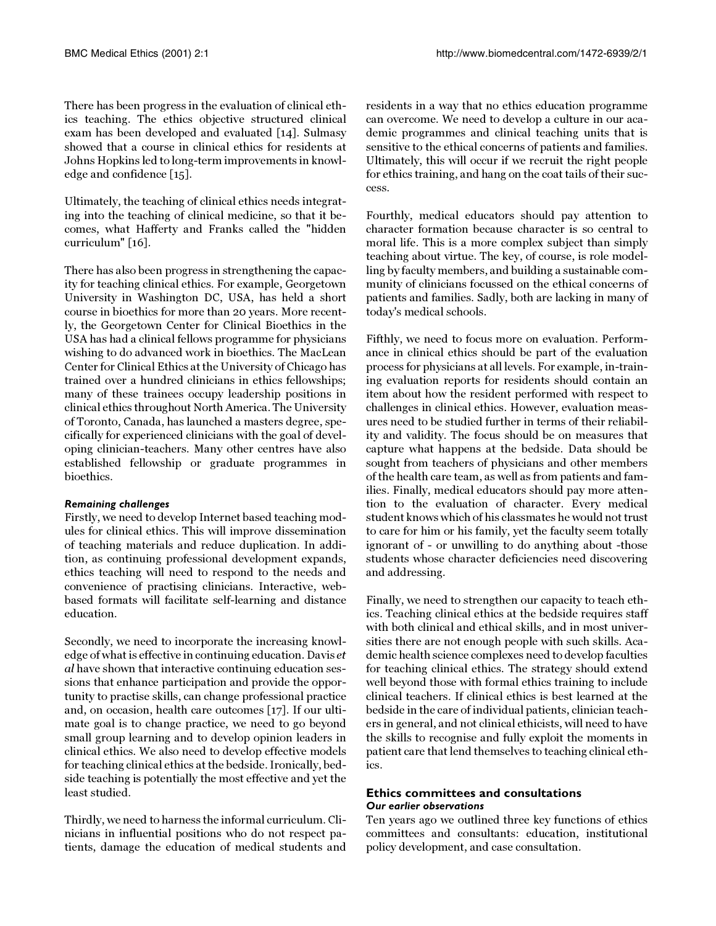There has been progress in the evaluation of clinical ethics teaching. The ethics objective structured clinical exam has been developed and evaluated [\[14](#page-7-13)]. Sulmasy showed that a course in clinical ethics for residents at Johns Hopkins led to long-term improvements in knowledge and confidence [[15](#page-7-14)].

Ultimately, the teaching of clinical ethics needs integrating into the teaching of clinical medicine, so that it becomes, what Hafferty and Franks called the "hidden curriculum" [\[16\]](#page-7-15).

There has also been progress in strengthening the capacity for teaching clinical ethics. For example, Georgetown University in Washington DC, USA, has held a short course in bioethics for more than 20 years. More recently, the Georgetown Center for Clinical Bioethics in the USA has had a clinical fellows programme for physicians wishing to do advanced work in bioethics. The MacLean Center for Clinical Ethics at the University of Chicago has trained over a hundred clinicians in ethics fellowships; many of these trainees occupy leadership positions in clinical ethics throughout North America. The University of Toronto, Canada, has launched a masters degree, specifically for experienced clinicians with the goal of developing clinician-teachers. Many other centres have also established fellowship or graduate programmes in bioethics.

## *Remaining challenges*

Firstly, we need to develop Internet based teaching modules for clinical ethics. This will improve dissemination of teaching materials and reduce duplication. In addition, as continuing professional development expands, ethics teaching will need to respond to the needs and convenience of practising clinicians. Interactive, webbased formats will facilitate self-learning and distance education.

Secondly, we need to incorporate the increasing knowledge of what is effective in continuing education. Davis et al have shown that interactive continuing education sessions that enhance participation and provide the opportunity to practise skills, can change professional practice and, on occasion, health care outcomes [\[17](#page-7-16)]. If our ultimate goal is to change practice, we need to go beyond small group learning and to develop opinion leaders in clinical ethics. We also need to develop effective models for teaching clinical ethics at the bedside. Ironically, bedside teaching is potentially the most effective and yet the least studied.

Thirdly, we need to harness the informal curriculum. Clinicians in influential positions who do not respect patients, damage the education of medical students and residents in a way that no ethics education programme can overcome. We need to develop a culture in our academic programmes and clinical teaching units that is sensitive to the ethical concerns of patients and families. Ultimately, this will occur if we recruit the right people for ethics training, and hang on the coat tails of their success.

Fourthly, medical educators should pay attention to character formation because character is so central to moral life. This is a more complex subject than simply teaching about virtue. The key, of course, is role modelling by faculty members, and building a sustainable community of clinicians focussed on the ethical concerns of patients and families. Sadly, both are lacking in many of today's medical schools.

Fifthly, we need to focus more on evaluation. Performance in clinical ethics should be part of the evaluation process for physicians at all levels. For example, in-training evaluation reports for residents should contain an item about how the resident performed with respect to challenges in clinical ethics. However, evaluation measures need to be studied further in terms of their reliability and validity. The focus should be on measures that capture what happens at the bedside. Data should be sought from teachers of physicians and other members of the health care team, as well as from patients and families. Finally, medical educators should pay more attention to the evaluation of character. Every medical student knows which of his classmates he would not trust to care for him or his family, yet the faculty seem totally ignorant of - or unwilling to do anything about -those students whose character deficiencies need discovering and addressing.

Finally, we need to strengthen our capacity to teach ethics. Teaching clinical ethics at the bedside requires staff with both clinical and ethical skills, and in most universities there are not enough people with such skills. Academic health science complexes need to develop faculties for teaching clinical ethics. The strategy should extend well beyond those with formal ethics training to include clinical teachers. If clinical ethics is best learned at the bedside in the care of individual patients, clinician teachers in general, and not clinical ethicists, will need to have the skills to recognise and fully exploit the moments in patient care that lend themselves to teaching clinical ethics.

## **Ethics committees and consultations** *Our earlier observations*

Ten years ago we outlined three key functions of ethics committees and consultants: education, institutional policy development, and case consultation.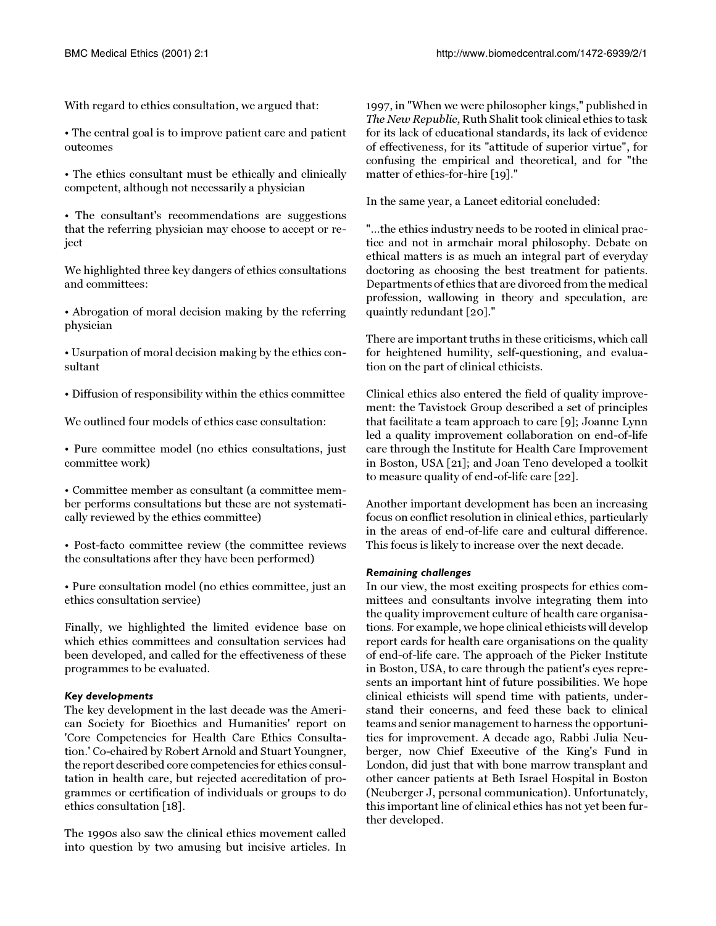With regard to ethics consultation, we argued that:

• The central goal is to improve patient care and patient outcomes

• The ethics consultant must be ethically and clinically competent, although not necessarily a physician

• The consultant's recommendations are suggestions that the referring physician may choose to accept or reject

We highlighted three key dangers of ethics consultations and committees:

• Abrogation of moral decision making by the referring physician

• Usurpation of moral decision making by the ethics consultant

• Diffusion of responsibility within the ethics committee

We outlined four models of ethics case consultation:

• Pure committee model (no ethics consultations, just committee work)

• Committee member as consultant (a committee member performs consultations but these are not systematically reviewed by the ethics committee)

• Post-facto committee review (the committee reviews the consultations after they have been performed)

• Pure consultation model (no ethics committee, just an ethics consultation service)

Finally, we highlighted the limited evidence base on which ethics committees and consultation services had been developed, and called for the effectiveness of these programmes to be evaluated.

## *Key developments*

The key development in the last decade was the American Society for Bioethics and Humanities' report on 'Core Competencies for Health Care Ethics Consultation.' Co-chaired by Robert Arnold and Stuart Youngner, the report described core competencies for ethics consultation in health care, but rejected accreditation of programmes or certification of individuals or groups to do ethics consultation [\[18](#page-7-17)].

The 1990s also saw the clinical ethics movement called into question by two amusing but incisive articles. In

1997, in "When we were philosopher kings," published in The New Republic, Ruth Shalit took clinical ethics to task for its lack of educational standards, its lack of evidence of effectiveness, for its "attitude of superior virtue", for confusing the empirical and theoretical, and for "the matter of ethics-for-hire [\[19\]](#page-7-18)."

In the same year, a Lancet editorial concluded:

"...the ethics industry needs to be rooted in clinical practice and not in armchair moral philosophy. Debate on ethical matters is as much an integral part of everyday doctoring as choosing the best treatment for patients. Departments of ethics that are divorced from the medical profession, wallowing in theory and speculation, are quaintly redundant [\[20\]](#page-7-19)."

There are important truths in these criticisms, which call for heightened humility, self-questioning, and evaluation on the part of clinical ethicists.

Clinical ethics also entered the field of quality improvement: the Tavistock Group described a set of principles that facilitate a team approach to care [\[9](#page-7-8)]; Joanne Lynn led a quality improvement collaboration on end-of-life care through the Institute for Health Care Improvement in Boston, USA [[21](#page-7-20)]; and Joan Teno developed a toolkit to measure quality of end-of-life care [[22](#page-7-21)].

Another important development has been an increasing focus on conflict resolution in clinical ethics, particularly in the areas of end-of-life care and cultural difference. This focus is likely to increase over the next decade.

# *Remaining challenges*

In our view, the most exciting prospects for ethics committees and consultants involve integrating them into the quality improvement culture of health care organisations. For example, we hope clinical ethicists will develop report cards for health care organisations on the quality of end-of-life care. The approach of the Picker Institute in Boston, USA, to care through the patient's eyes represents an important hint of future possibilities. We hope clinical ethicists will spend time with patients, understand their concerns, and feed these back to clinical teams and senior management to harness the opportunities for improvement. A decade ago, Rabbi Julia Neuberger, now Chief Executive of the King's Fund in London, did just that with bone marrow transplant and other cancer patients at Beth Israel Hospital in Boston (Neuberger J, personal communication). Unfortunately, this important line of clinical ethics has not yet been further developed.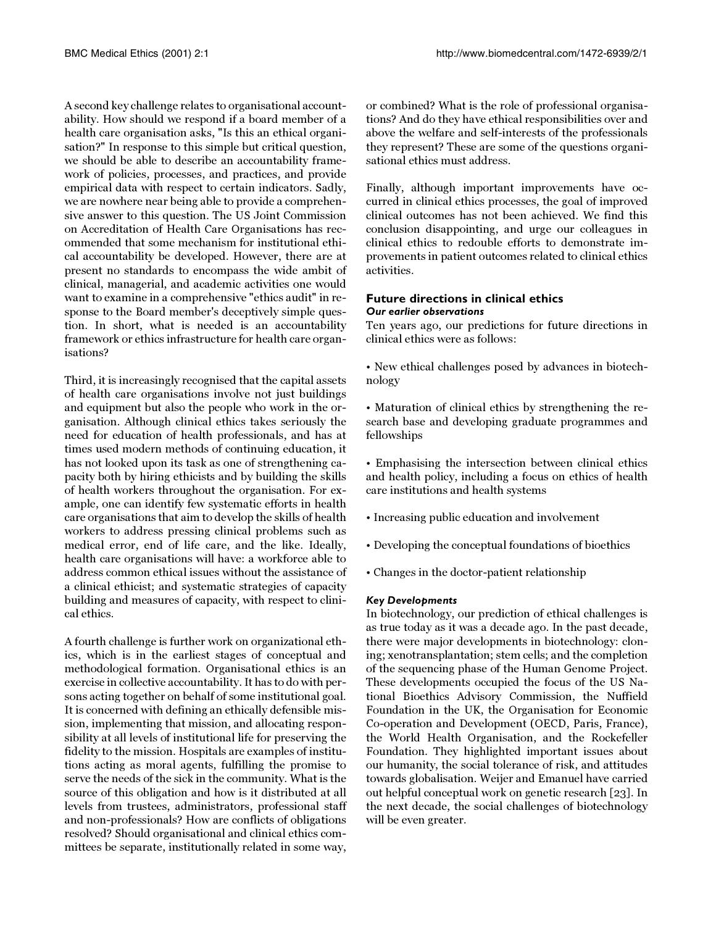A second key challenge relates to organisational accountability. How should we respond if a board member of a health care organisation asks, "Is this an ethical organisation?" In response to this simple but critical question, we should be able to describe an accountability framework of policies, processes, and practices, and provide empirical data with respect to certain indicators. Sadly, we are nowhere near being able to provide a comprehensive answer to this question. The US Joint Commission on Accreditation of Health Care Organisations has recommended that some mechanism for institutional ethical accountability be developed. However, there are at present no standards to encompass the wide ambit of clinical, managerial, and academic activities one would want to examine in a comprehensive "ethics audit" in response to the Board member's deceptively simple question. In short, what is needed is an accountability framework or ethics infrastructure for health care organisations?

Third, it is increasingly recognised that the capital assets of health care organisations involve not just buildings and equipment but also the people who work in the organisation. Although clinical ethics takes seriously the need for education of health professionals, and has at times used modern methods of continuing education, it has not looked upon its task as one of strengthening capacity both by hiring ethicists and by building the skills of health workers throughout the organisation. For example, one can identify few systematic efforts in health care organisations that aim to develop the skills of health workers to address pressing clinical problems such as medical error, end of life care, and the like. Ideally, health care organisations will have: a workforce able to address common ethical issues without the assistance of a clinical ethicist; and systematic strategies of capacity building and measures of capacity, with respect to clinical ethics.

A fourth challenge is further work on organizational ethics, which is in the earliest stages of conceptual and methodological formation. Organisational ethics is an exercise in collective accountability. It has to do with persons acting together on behalf of some institutional goal. It is concerned with defining an ethically defensible mission, implementing that mission, and allocating responsibility at all levels of institutional life for preserving the fidelity to the mission. Hospitals are examples of institutions acting as moral agents, fulfilling the promise to serve the needs of the sick in the community. What is the source of this obligation and how is it distributed at all levels from trustees, administrators, professional staff and non-professionals? How are conflicts of obligations resolved? Should organisational and clinical ethics committees be separate, institutionally related in some way, or combined? What is the role of professional organisations? And do they have ethical responsibilities over and above the welfare and self-interests of the professionals they represent? These are some of the questions organisational ethics must address.

Finally, although important improvements have occurred in clinical ethics processes, the goal of improved clinical outcomes has not been achieved. We find this conclusion disappointing, and urge our colleagues in clinical ethics to redouble efforts to demonstrate improvements in patient outcomes related to clinical ethics activities.

# **Future directions in clinical ethics** *Our earlier observations*

Ten years ago, our predictions for future directions in clinical ethics were as follows:

• New ethical challenges posed by advances in biotechnology

• Maturation of clinical ethics by strengthening the research base and developing graduate programmes and fellowships

• Emphasising the intersection between clinical ethics and health policy, including a focus on ethics of health care institutions and health systems

- Increasing public education and involvement
- Developing the conceptual foundations of bioethics
- Changes in the doctor-patient relationship

## *Key Developments*

In biotechnology, our prediction of ethical challenges is as true today as it was a decade ago. In the past decade, there were major developments in biotechnology: cloning; xenotransplantation; stem cells; and the completion of the sequencing phase of the Human Genome Project. These developments occupied the focus of the US National Bioethics Advisory Commission, the Nuffield Foundation in the UK, the Organisation for Economic Co-operation and Development (OECD, Paris, France), the World Health Organisation, and the Rockefeller Foundation. They highlighted important issues about our humanity, the social tolerance of risk, and attitudes towards globalisation. Weijer and Emanuel have carried out helpful conceptual work on genetic research [\[23\]](#page-7-22). In the next decade, the social challenges of biotechnology will be even greater.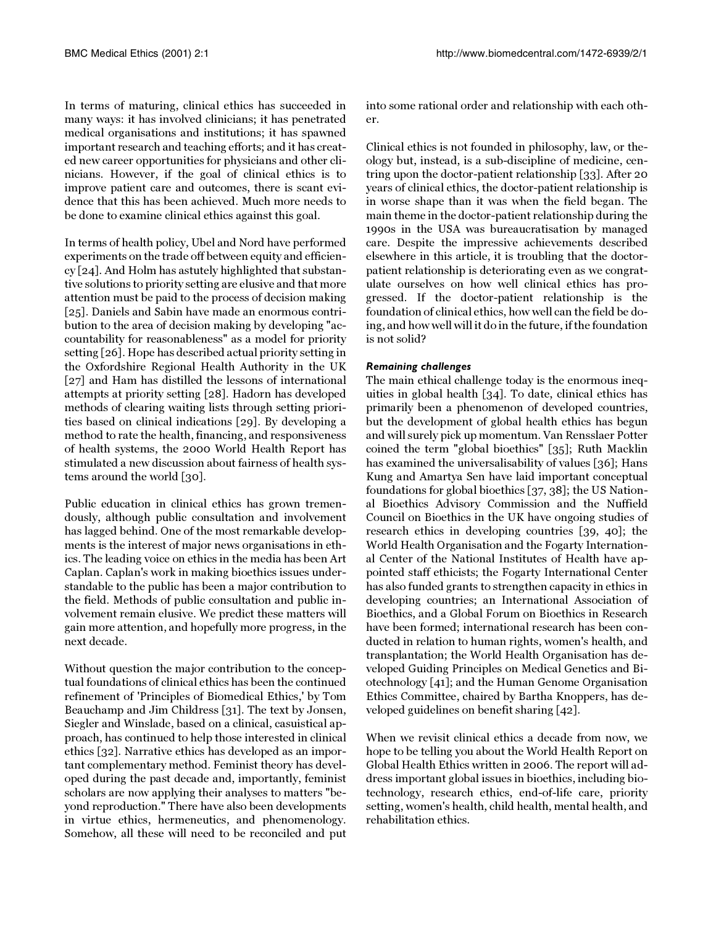In terms of maturing, clinical ethics has succeeded in many ways: it has involved clinicians; it has penetrated medical organisations and institutions; it has spawned important research and teaching efforts; and it has created new career opportunities for physicians and other clinicians. However, if the goal of clinical ethics is to improve patient care and outcomes, there is scant evidence that this has been achieved. Much more needs to be done to examine clinical ethics against this goal.

In terms of health policy, Ubel and Nord have performed experiments on the trade off between equity and efficiency [\[24](#page-7-23)]. And Holm has astutely highlighted that substantive solutions to priority setting are elusive and that more attention must be paid to the process of decision making [[25](#page-7-24)]. Daniels and Sabin have made an enormous contribution to the area of decision making by developing "accountability for reasonableness" as a model for priority setting [[26\]](#page-7-25). Hope has described actual priority setting in the Oxfordshire Regional Health Authority in the UK [[27](#page-7-26)] and Ham has distilled the lessons of international attempts at priority setting [\[28](#page-7-27)]. Hadorn has developed methods of clearing waiting lists through setting priorities based on clinical indications [\[29](#page-7-28)]. By developing a method to rate the health, financing, and responsiveness of health systems, the 2000 World Health Report has stimulated a new discussion about fairness of health systems around the world [[30](#page-7-29)].

Public education in clinical ethics has grown tremendously, although public consultation and involvement has lagged behind. One of the most remarkable developments is the interest of major news organisations in ethics. The leading voice on ethics in the media has been Art Caplan. Caplan's work in making bioethics issues understandable to the public has been a major contribution to the field. Methods of public consultation and public involvement remain elusive. We predict these matters will gain more attention, and hopefully more progress, in the next decade.

Without question the major contribution to the conceptual foundations of clinical ethics has been the continued refinement of 'Principles of Biomedical Ethics,' by Tom Beauchamp and Jim Childress [\[31\]](#page-7-30). The text by Jonsen, Siegler and Winslade, based on a clinical, casuistical approach, has continued to help those interested in clinical ethics [[32](#page-7-31)]. Narrative ethics has developed as an important complementary method. Feminist theory has developed during the past decade and, importantly, feminist scholars are now applying their analyses to matters "beyond reproduction." There have also been developments in virtue ethics, hermeneutics, and phenomenology. Somehow, all these will need to be reconciled and put into some rational order and relationship with each other.

Clinical ethics is not founded in philosophy, law, or theology but, instead, is a sub-discipline of medicine, centring upon the doctor-patient relationship [\[33](#page-7-32)]. After 20 years of clinical ethics, the doctor-patient relationship is in worse shape than it was when the field began. The main theme in the doctor-patient relationship during the 1990s in the USA was bureaucratisation by managed care. Despite the impressive achievements described elsewhere in this article, it is troubling that the doctorpatient relationship is deteriorating even as we congratulate ourselves on how well clinical ethics has progressed. If the doctor-patient relationship is the foundation of clinical ethics, how well can the field be doing, and how well will it do in the future, if the foundation is not solid?

# *Remaining challenges*

The main ethical challenge today is the enormous inequities in global health [\[34](#page-7-33)]. To date, clinical ethics has primarily been a phenomenon of developed countries, but the development of global health ethics has begun and will surely pick up momentum. Van Rensslaer Potter coined the term "global bioethics" [[35](#page-7-34)]; Ruth Macklin has examined the universalisability of values [\[36](#page-7-35)]; Hans Kung and Amartya Sen have laid important conceptual foundations for global bioethics [[37,](#page-7-36) [38\]](#page-7-37); the US National Bioethics Advisory Commission and the Nuffield Council on Bioethics in the UK have ongoing studies of research ethics in developing countries [[39,](#page-7-38) [40\]](#page-7-39); the World Health Organisation and the Fogarty International Center of the National Institutes of Health have appointed staff ethicists; the Fogarty International Center has also funded grants to strengthen capacity in ethics in developing countries; an International Association of Bioethics, and a Global Forum on Bioethics in Research have been formed; international research has been conducted in relation to human rights, women's health, and transplantation; the World Health Organisation has developed Guiding Principles on Medical Genetics and Biotechnology [\[41](#page-7-40)]; and the Human Genome Organisation Ethics Committee, chaired by Bartha Knoppers, has developed guidelines on benefit sharing [\[42](#page-7-41)].

When we revisit clinical ethics a decade from now, we hope to be telling you about the World Health Report on Global Health Ethics written in 2006. The report will address important global issues in bioethics, including biotechnology, research ethics, end-of-life care, priority setting, women's health, child health, mental health, and rehabilitation ethics.